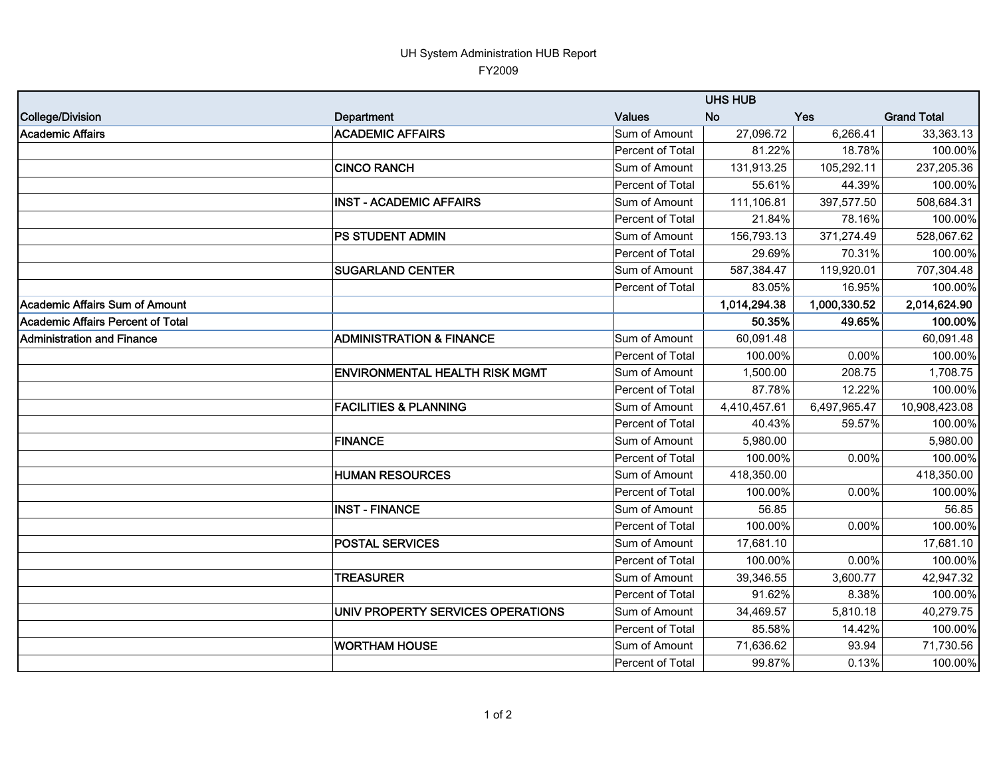## UH System Administration HUB Report FY2009

|                                   |                                       | <b>UHS HUB</b>   |              |              |                    |  |  |
|-----------------------------------|---------------------------------------|------------------|--------------|--------------|--------------------|--|--|
| College/Division                  | Department                            | Values           | <b>No</b>    | <b>Yes</b>   | <b>Grand Total</b> |  |  |
| Academic Affairs                  | <b>ACADEMIC AFFAIRS</b>               | Sum of Amount    | 27,096.72    | 6,266.41     | 33,363.13          |  |  |
|                                   |                                       | Percent of Total | 81.22%       | 18.78%       | 100.00%            |  |  |
|                                   | <b>CINCO RANCH</b>                    | Sum of Amount    | 131,913.25   | 105,292.11   | 237,205.36         |  |  |
|                                   |                                       | Percent of Total | 55.61%       | 44.39%       | 100.00%            |  |  |
|                                   | <b>INST - ACADEMIC AFFAIRS</b>        | Sum of Amount    | 111,106.81   | 397,577.50   | 508,684.31         |  |  |
|                                   |                                       | Percent of Total | 21.84%       | 78.16%       | 100.00%            |  |  |
|                                   | PS STUDENT ADMIN                      | Sum of Amount    | 156,793.13   | 371,274.49   | 528,067.62         |  |  |
|                                   |                                       | Percent of Total | 29.69%       | 70.31%       | 100.00%            |  |  |
|                                   | <b>SUGARLAND CENTER</b>               | Sum of Amount    | 587,384.47   | 119,920.01   | 707,304.48         |  |  |
|                                   |                                       | Percent of Total | 83.05%       | 16.95%       | 100.00%            |  |  |
| Academic Affairs Sum of Amount    |                                       |                  | 1,014,294.38 | 1,000,330.52 | 2,014,624.90       |  |  |
| Academic Affairs Percent of Total |                                       |                  | 50.35%       | 49.65%       | 100.00%            |  |  |
| Administration and Finance        | <b>ADMINISTRATION &amp; FINANCE</b>   | Sum of Amount    | 60,091.48    |              | 60,091.48          |  |  |
|                                   |                                       | Percent of Total | 100.00%      | 0.00%        | 100.00%            |  |  |
|                                   | <b>ENVIRONMENTAL HEALTH RISK MGMT</b> | Sum of Amount    | 1,500.00     | 208.75       | 1,708.75           |  |  |
|                                   |                                       | Percent of Total | 87.78%       | 12.22%       | 100.00%            |  |  |
|                                   | <b>FACILITIES &amp; PLANNING</b>      | Sum of Amount    | 4,410,457.61 | 6,497,965.47 | 10,908,423.08      |  |  |
|                                   |                                       | Percent of Total | 40.43%       | 59.57%       | 100.00%            |  |  |
|                                   | <b>FINANCE</b>                        | Sum of Amount    | 5,980.00     |              | 5,980.00           |  |  |
|                                   |                                       | Percent of Total | 100.00%      | 0.00%        | 100.00%            |  |  |
|                                   | <b>HUMAN RESOURCES</b>                | Sum of Amount    | 418,350.00   |              | 418,350.00         |  |  |
|                                   |                                       | Percent of Total | 100.00%      | 0.00%        | 100.00%            |  |  |
|                                   | <b>INST - FINANCE</b>                 | Sum of Amount    | 56.85        |              | 56.85              |  |  |
|                                   |                                       | Percent of Total | 100.00%      | 0.00%        | 100.00%            |  |  |
|                                   | <b>POSTAL SERVICES</b>                | Sum of Amount    | 17,681.10    |              | 17,681.10          |  |  |
|                                   |                                       | Percent of Total | 100.00%      | 0.00%        | 100.00%            |  |  |
|                                   | <b>TREASURER</b>                      | Sum of Amount    | 39,346.55    | 3,600.77     | 42,947.32          |  |  |
|                                   |                                       | Percent of Total | 91.62%       | 8.38%        | 100.00%            |  |  |
|                                   | UNIV PROPERTY SERVICES OPERATIONS     | Sum of Amount    | 34,469.57    | 5,810.18     | 40,279.75          |  |  |
|                                   |                                       | Percent of Total | 85.58%       | 14.42%       | 100.00%            |  |  |
|                                   | <b>WORTHAM HOUSE</b>                  | Sum of Amount    | 71,636.62    | 93.94        | 71,730.56          |  |  |
|                                   |                                       | Percent of Total | 99.87%       | 0.13%        | 100.00%            |  |  |